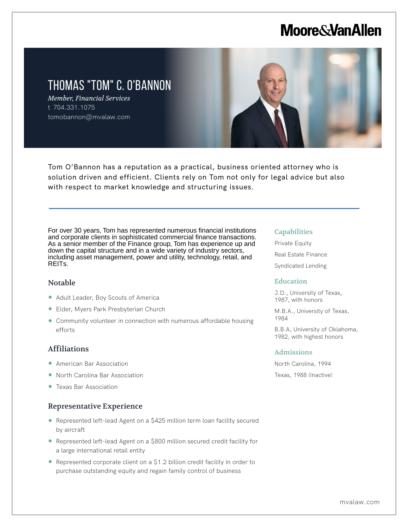# **Moore & Van Allen**

# THOMAS "TOM" C. O'BANNON

*Member, Financial Services* t 704.331.1075 tomobannon@mvalaw.com



Tom O'Bannon has a reputation as a practical, business oriented attorney who is solution driven and efficient. Clients rely on Tom not only for legal advice but also with respect to market knowledge and structuring issues.

For over 30 years, Tom has represented numerous financial institutions and corporate clients in sophisticated commercial finance transactions. As a senior member of the Finance group, Tom has experience up and down the capital structure and in a wide variety of industry sectors, including asset management, power and utility, technology, retail, and REITs.

### Notable

L

- Adult Leader, Boy Scouts of America
- Elder, Myers Park Presbyterian Church
- Community volunteer in connection with numerous affordable housing efforts

# Affiliations

- American Bar Association
- North Carolina Bar Association
- Texas Bar Association

# Representative Experience

- Represented left-lead Agent on a \$425 million term loan facility secured by aircraft
- Represented left-lead Agent on a \$800 million secured credit facility for a large international retail entity
- Represented corporate client on a \$1.2 billion credit facility in order to purchase outstanding equity and regain family control of business

#### **Capabilities**

Private Equity Real Estate Finance Syndicated Lending

### Education

J.D., University of Texas, 1987, with honors

M.B.A., University of Texas, 1984

B.B.A, University of Oklahoma, 1982, with highest honors

#### Admissions

North Carolina, 1994 Texas, 1988 (Inactive)